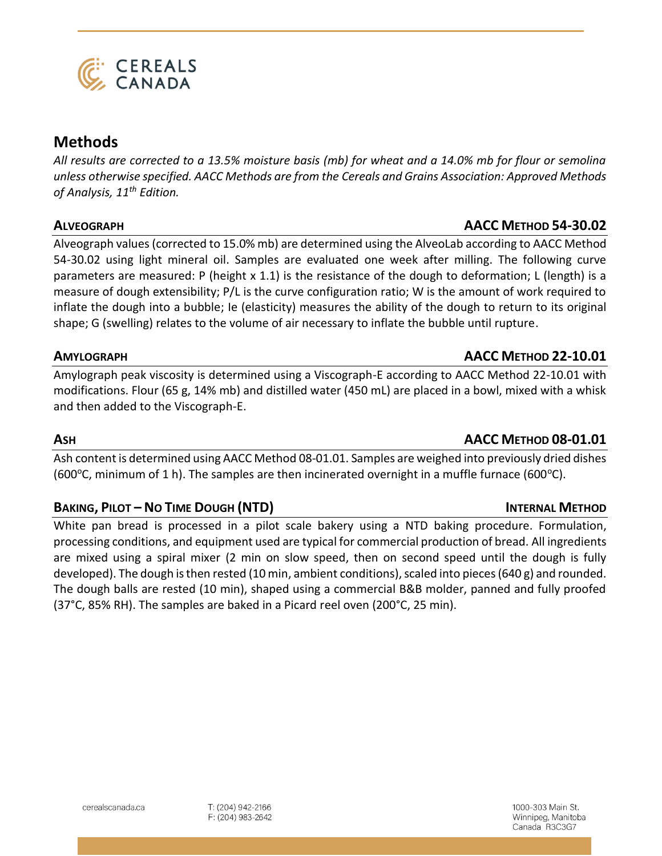

# **CEREALS**<br>CANADA

# **Methods**

*All results are corrected to a 13.5% moisture basis (mb) for wheat and a 14.0% mb for flour or semolina unless otherwise specified. AACC Methods are from the Cereals and Grains Association: Approved Methods of Analysis, 11th Edition.*

# **ALVEOGRAPH AACC METHOD 54-30.02**

Alveograph values (corrected to 15.0% mb) are determined using the AlveoLab according to AACC Method 54-30.02 using light mineral oil. Samples are evaluated one week after milling. The following curve parameters are measured: P (height x 1.1) is the resistance of the dough to deformation; L (length) is a measure of dough extensibility; P/L is the curve configuration ratio; W is the amount of work required to inflate the dough into a bubble; Ie (elasticity) measures the ability of the dough to return to its original shape; G (swelling) relates to the volume of air necessary to inflate the bubble until rupture.

# **AMYLOGRAPH AACC METHOD 22-10.01**

Amylograph peak viscosity is determined using a Viscograph-E according to AACC Method 22-10.01 with modifications. Flour (65 g, 14% mb) and distilled water (450 mL) are placed in a bowl, mixed with a whisk and then added to the Viscograph-E.

Ash content is determined using AACC Method 08-01.01. Samples are weighed into previously dried dishes (600 $\degree$ C, minimum of 1 h). The samples are then incinerated overnight in a muffle furnace (600 $\degree$ C).

# **BAKING, PILOT – NO TIME DOUGH (NTD) INTERNAL METHOD**

White pan bread is processed in a pilot scale bakery using a NTD baking procedure. Formulation, processing conditions, and equipment used are typical for commercial production of bread. All ingredients are mixed using a spiral mixer (2 min on slow speed, then on second speed until the dough is fully developed). The dough is then rested (10 min, ambient conditions), scaled into pieces (640 g) and rounded. The dough balls are rested (10 min), shaped using a commercial B&B molder, panned and fully proofed (37°C, 85% RH). The samples are baked in a Picard reel oven (200°C, 25 min).

# **ASH AACC METHOD 08-01.01**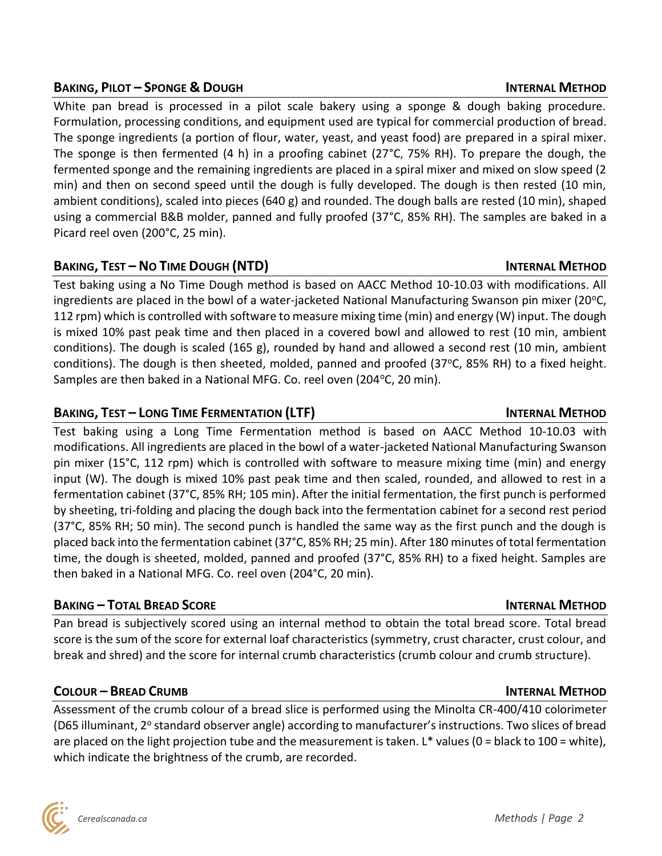# **BAKING, PILOT – SPONGE & DOUGH INTERNAL METHOD**

White pan bread is processed in a pilot scale bakery using a sponge & dough baking procedure. Formulation, processing conditions, and equipment used are typical for commercial production of bread. The sponge ingredients (a portion of flour, water, yeast, and yeast food) are prepared in a spiral mixer. The sponge is then fermented (4 h) in a proofing cabinet (27°C, 75% RH). To prepare the dough, the fermented sponge and the remaining ingredients are placed in a spiral mixer and mixed on slow speed (2 min) and then on second speed until the dough is fully developed. The dough is then rested (10 min, ambient conditions), scaled into pieces (640 g) and rounded. The dough balls are rested (10 min), shaped using a commercial B&B molder, panned and fully proofed (37°C, 85% RH). The samples are baked in a Picard reel oven (200°C, 25 min).

# **BAKING, TEST – NO TIME DOUGH (NTD) INTERNAL METHOD**

Test baking using a No Time Dough method is based on AACC Method 10-10.03 with modifications. All ingredients are placed in the bowl of a water-jacketed National Manufacturing Swanson pin mixer (20 $\degree$ C, 112 rpm) which is controlled with software to measure mixing time (min) and energy (W) input. The dough is mixed 10% past peak time and then placed in a covered bowl and allowed to rest (10 min, ambient conditions). The dough is scaled (165 g), rounded by hand and allowed a second rest (10 min, ambient conditions). The dough is then sheeted, molded, panned and proofed  $(37^{\circ}C, 85\% \text{ RH})$  to a fixed height. Samples are then baked in a National MFG. Co. reel oven (204°C, 20 min).

# **BAKING, TEST – LONG TIME FERMENTATION (LTF) INTERNAL METHOD**

Test baking using a Long Time Fermentation method is based on AACC Method 10-10.03 with modifications. All ingredients are placed in the bowl of a water-jacketed National Manufacturing Swanson pin mixer (15°C, 112 rpm) which is controlled with software to measure mixing time (min) and energy input (W). The dough is mixed 10% past peak time and then scaled, rounded, and allowed to rest in a fermentation cabinet (37°C, 85% RH; 105 min). After the initial fermentation, the first punch is performed by sheeting, tri-folding and placing the dough back into the fermentation cabinet for a second rest period (37°C, 85% RH; 50 min). The second punch is handled the same way as the first punch and the dough is placed back into the fermentation cabinet (37°C, 85% RH; 25 min). After 180 minutes of total fermentation time, the dough is sheeted, molded, panned and proofed (37°C, 85% RH) to a fixed height. Samples are then baked in a National MFG. Co. reel oven (204°C, 20 min).

# **BAKING – TOTAL BREAD SCORE INTERNAL METHOD**

Pan bread is subjectively scored using an internal method to obtain the total bread score. Total bread score is the sum of the score for external loaf characteristics (symmetry, crust character, crust colour, and break and shred) and the score for internal crumb characteristics (crumb colour and crumb structure).

# **COLOUR – BREAD CRUMB INTERNAL METHOD**

Assessment of the crumb colour of a bread slice is performed using the Minolta CR-400/410 colorimeter (D65 illuminant, 2° standard observer angle) according to manufacturer's instructions. Two slices of bread are placed on the light projection tube and the measurement is taken. L\* values (0 = black to 100 = white), which indicate the brightness of the crumb, are recorded.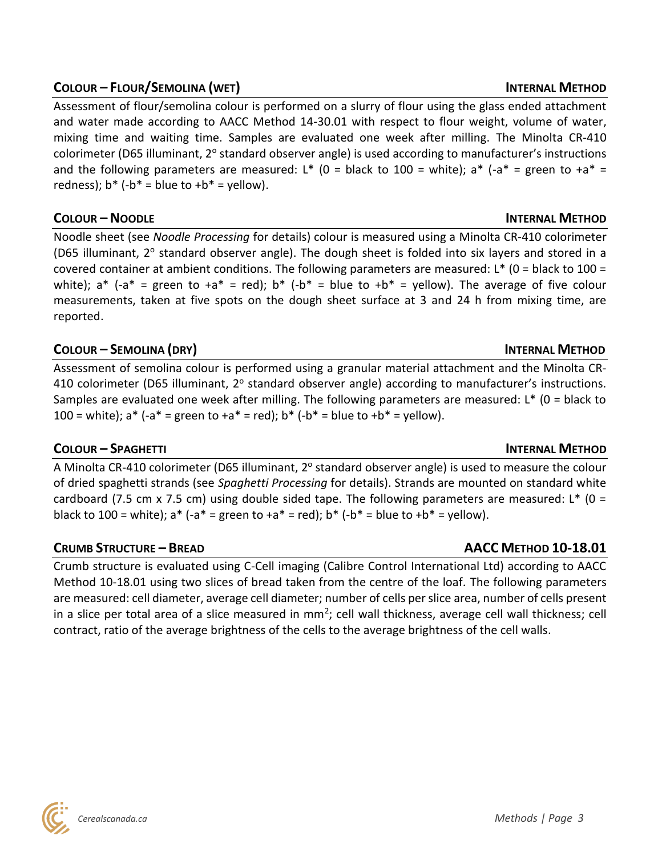# **COLOUR – FLOUR/SEMOLINA (WET) INTERNAL METHOD**

Assessment of flour/semolina colour is performed on a slurry of flour using the glass ended attachment and water made according to AACC Method 14-30.01 with respect to flour weight, volume of water, mixing time and waiting time. Samples are evaluated one week after milling. The Minolta CR-410 colorimeter (D65 illuminant, 2° standard observer angle) is used according to manufacturer's instructions and the following parameters are measured: L\* (0 = black to 100 = white); a\*  $(-a^* =$  green to  $+a^* =$ redness);  $b^*$  (- $b^*$  = blue to + $b^*$  = yellow).

### **COLOUR – NOODLE INTERNAL METHOD**

Noodle sheet (see *Noodle Processing* for details) colour is measured using a Minolta CR-410 colorimeter (D65 illuminant, 2° standard observer angle). The dough sheet is folded into six layers and stored in a covered container at ambient conditions. The following parameters are measured: L\* (0 = black to 100 = white);  $a^*$  (- $a^*$  = green to + $a^*$  = red);  $b^*$  (- $b^*$  = blue to + $b^*$  = yellow). The average of five colour measurements, taken at five spots on the dough sheet surface at 3 and 24 h from mixing time, are reported.

# **COLOUR – SEMOLINA (DRY) INTERNAL METHOD**

Assessment of semolina colour is performed using a granular material attachment and the Minolta CR-410 colorimeter (D65 illuminant, 2° standard observer angle) according to manufacturer's instructions. Samples are evaluated one week after milling. The following parameters are measured: L\* (0 = black to 100 = white);  $a^*$  (- $a^*$  = green to + $a^*$  = red);  $b^*$  (- $b^*$  = blue to + $b^*$  = yellow).

### **COLOUR – SPAGHETTI INTERNAL METHOD**

A Minolta CR-410 colorimeter (D65 illuminant, 2° standard observer angle) is used to measure the colour of dried spaghetti strands (see *Spaghetti Processing* for details). Strands are mounted on standard white cardboard (7.5 cm x 7.5 cm) using double sided tape. The following parameters are measured:  $L^*$  (0 = black to 100 = white);  $a^*$  (- $a^*$  = green to + $a^*$  = red);  $b^*$  (- $b^*$  = blue to + $b^*$  = yellow).

### **CRUMB STRUCTURE – BREAD AACC METHOD 10-18.01**

Crumb structure is evaluated using C-Cell imaging (Calibre Control International Ltd) according to AACC Method 10-18.01 using two slices of bread taken from the centre of the loaf. The following parameters are measured: cell diameter, average cell diameter; number of cells per slice area, number of cells present in a slice per total area of a slice measured in mm<sup>2</sup>; cell wall thickness, average cell wall thickness; cell contract, ratio of the average brightness of the cells to the average brightness of the cell walls.

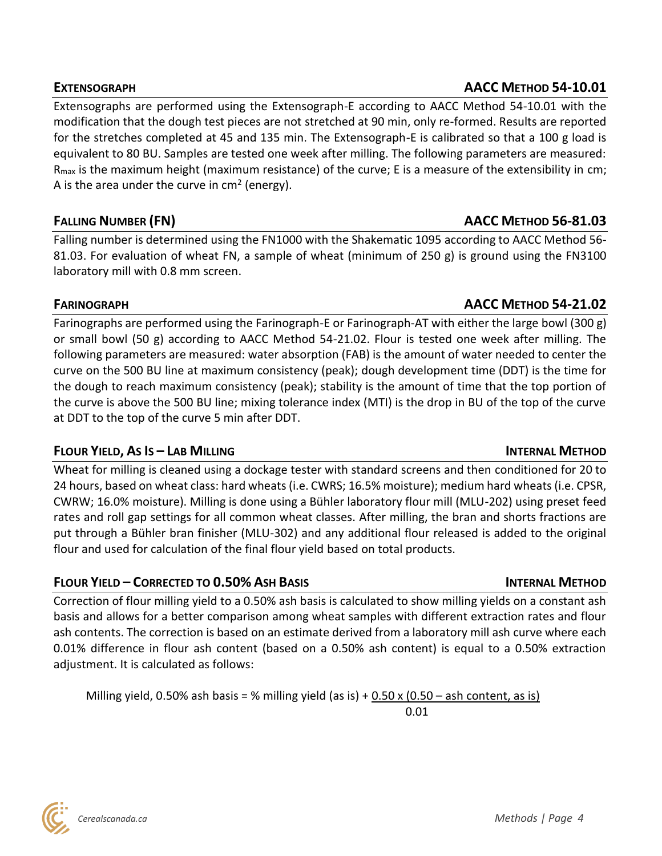Extensographs are performed using the Extensograph-E according to AACC Method 54-10.01 with the modification that the dough test pieces are not stretched at 90 min, only re-formed. Results are reported for the stretches completed at 45 and 135 min. The Extensograph-E is calibrated so that a 100 g load is equivalent to 80 BU. Samples are tested one week after milling. The following parameters are measured:  $R_{\text{max}}$  is the maximum height (maximum resistance) of the curve; E is a measure of the extensibility in cm; A is the area under the curve in cm<sup>2</sup> (energy).

Falling number is determined using the FN1000 with the Shakematic 1095 according to AACC Method 56- 81.03. For evaluation of wheat FN, a sample of wheat (minimum of 250 g) is ground using the FN3100 laboratory mill with 0.8 mm screen.

# **FARINOGRAPH AACC METHOD 54-21.02**

Farinographs are performed using the Farinograph-E or Farinograph-AT with either the large bowl (300 g) or small bowl (50 g) according to AACC Method 54-21.02. Flour is tested one week after milling. The following parameters are measured: water absorption (FAB) is the amount of water needed to center the curve on the 500 BU line at maximum consistency (peak); dough development time (DDT) is the time for the dough to reach maximum consistency (peak); stability is the amount of time that the top portion of the curve is above the 500 BU line; mixing tolerance index (MTI) is the drop in BU of the top of the curve at DDT to the top of the curve 5 min after DDT.

# **FLOUR YIELD, AS IS – LAB MILLING INTERNAL METHOD**

Wheat for milling is cleaned using a dockage tester with standard screens and then conditioned for 20 to 24 hours, based on wheat class: hard wheats (i.e. CWRS; 16.5% moisture); medium hard wheats (i.e. CPSR, CWRW; 16.0% moisture). Milling is done using a Bühler laboratory flour mill (MLU-202) using preset feed rates and roll gap settings for all common wheat classes. After milling, the bran and shorts fractions are put through a Bühler bran finisher (MLU-302) and any additional flour released is added to the original flour and used for calculation of the final flour yield based on total products.

# **FLOUR YIELD – CORRECTED TO 0.50% ASH BASIS INTERNAL METHOD**

Correction of flour milling yield to a 0.50% ash basis is calculated to show milling yields on a constant ash basis and allows for a better comparison among wheat samples with different extraction rates and flour ash contents. The correction is based on an estimate derived from a laboratory mill ash curve where each 0.01% difference in flour ash content (based on a 0.50% ash content) is equal to a 0.50% extraction adjustment. It is calculated as follows:

Milling yield, 0.50% ash basis = % milling yield (as is) + 0.50 x (0.50 – ash content, as is) 0.01

# **EXTENSOGRAPH AACC METHOD 54-10.01**

# **FALLING NUMBER (FN) AACC METHOD 56-81.03**

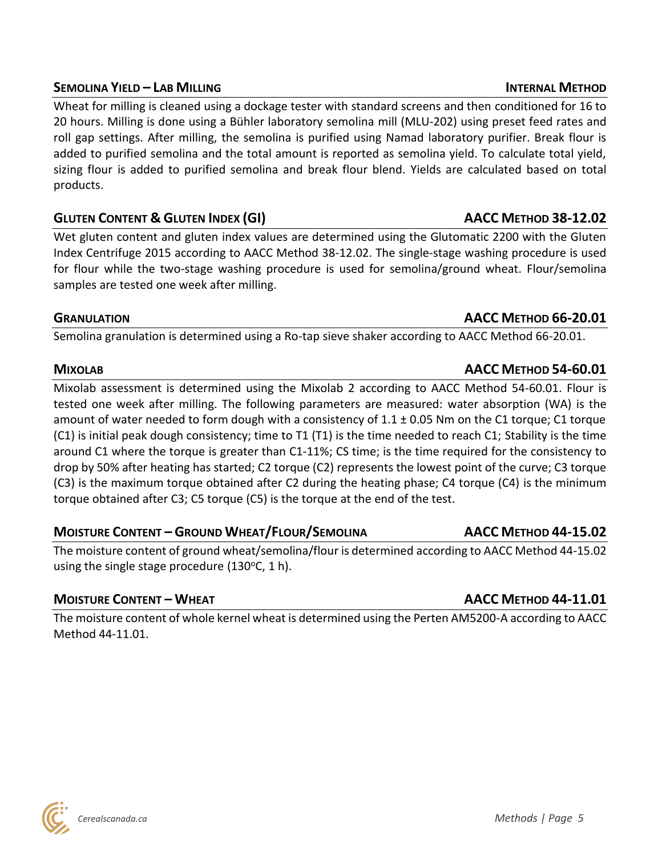# **SEMOLINA YIELD – LAB MILLING INTERNAL METHOD**

Wheat for milling is cleaned using a dockage tester with standard screens and then conditioned for 16 to 20 hours. Milling is done using a Bühler laboratory semolina mill (MLU-202) using preset feed rates and roll gap settings. After milling, the semolina is purified using Namad laboratory purifier. Break flour is added to purified semolina and the total amount is reported as semolina yield. To calculate total yield, sizing flour is added to purified semolina and break flour blend. Yields are calculated based on total products.

# **GLUTEN CONTENT & GLUTEN INDEX (GI) AACC METHOD 38-12.02**

Wet gluten content and gluten index values are determined using the Glutomatic 2200 with the Gluten Index Centrifuge 2015 according to AACC Method 38-12.02. The single-stage washing procedure is used for flour while the two-stage washing procedure is used for semolina/ground wheat. Flour/semolina samples are tested one week after milling.

### **GRANULATION AACC METHOD 66-20.01**

Semolina granulation is determined using a Ro-tap sieve shaker according to AACC Method 66-20.01.

Mixolab assessment is determined using the Mixolab 2 according to AACC Method 54-60.01. Flour is tested one week after milling. The following parameters are measured: water absorption (WA) is the amount of water needed to form dough with a consistency of 1.1 ± 0.05 Nm on the C1 torque; C1 torque (C1) is initial peak dough consistency; time to T1 (T1) is the time needed to reach C1; Stability is the time around C1 where the torque is greater than C1-11%; CS time; is the time required for the consistency to drop by 50% after heating has started; C2 torque (C2) represents the lowest point of the curve; C3 torque (C3) is the maximum torque obtained after C2 during the heating phase; C4 torque (C4) is the minimum torque obtained after C3; C5 torque (C5) is the torque at the end of the test.

# **MOISTURE CONTENT – GROUND WHEAT/FLOUR/SEMOLINA AACC METHOD 44-15.02**

The moisture content of ground wheat/semolina/flour is determined according to AACC Method 44-15.02 using the single stage procedure  $(130^{\circ}C, 1 h)$ .

# **MOISTURE CONTENT – WHEAT AACC METHOD 44-11.01**

The moisture content of whole kernel wheat is determined using the Perten AM5200-A according to AACC Method 44-11.01.

# **MIXOLAB AACC METHOD 54-60.01**

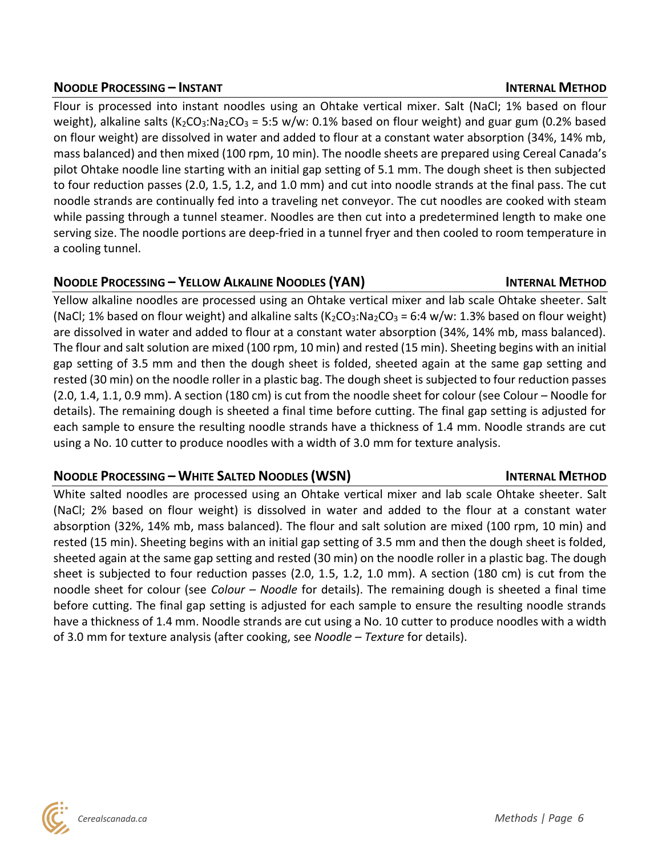### **NOODLE PROCESSING – INSTANT INTERNAL METHOD**

Flour is processed into instant noodles using an Ohtake vertical mixer. Salt (NaCl; 1% based on flour weight), alkaline salts (K<sub>2</sub>CO<sub>3</sub>:Na<sub>2</sub>CO<sub>3</sub> = 5:5 w/w: 0.1% based on flour weight) and guar gum (0.2% based on flour weight) are dissolved in water and added to flour at a constant water absorption (34%, 14% mb, mass balanced) and then mixed (100 rpm, 10 min). The noodle sheets are prepared using Cereal Canada's pilot Ohtake noodle line starting with an initial gap setting of 5.1 mm. The dough sheet is then subjected to four reduction passes (2.0, 1.5, 1.2, and 1.0 mm) and cut into noodle strands at the final pass. The cut noodle strands are continually fed into a traveling net conveyor. The cut noodles are cooked with steam while passing through a tunnel steamer. Noodles are then cut into a predetermined length to make one serving size. The noodle portions are deep-fried in a tunnel fryer and then cooled to room temperature in a cooling tunnel.

# **NOODLE PROCESSING – YELLOW ALKALINE NOODLES (YAN) INTERNAL METHOD**

Yellow alkaline noodles are processed using an Ohtake vertical mixer and lab scale Ohtake sheeter. Salt (NaCl; 1% based on flour weight) and alkaline salts (K<sub>2</sub>CO<sub>3</sub>:Na<sub>2</sub>CO<sub>3</sub> = 6:4 w/w: 1.3% based on flour weight) are dissolved in water and added to flour at a constant water absorption (34%, 14% mb, mass balanced). The flour and salt solution are mixed (100 rpm, 10 min) and rested (15 min). Sheeting begins with an initial gap setting of 3.5 mm and then the dough sheet is folded, sheeted again at the same gap setting and rested (30 min) on the noodle roller in a plastic bag. The dough sheet is subjected to four reduction passes (2.0, 1.4, 1.1, 0.9 mm). A section (180 cm) is cut from the noodle sheet for colour (see Colour – Noodle for details). The remaining dough is sheeted a final time before cutting. The final gap setting is adjusted for each sample to ensure the resulting noodle strands have a thickness of 1.4 mm. Noodle strands are cut using a No. 10 cutter to produce noodles with a width of 3.0 mm for texture analysis.

# **NOODLE PROCESSING – WHITE SALTED NOODLES (WSN) INTERNAL METHOD**

# White salted noodles are processed using an Ohtake vertical mixer and lab scale Ohtake sheeter. Salt (NaCl; 2% based on flour weight) is dissolved in water and added to the flour at a constant water absorption (32%, 14% mb, mass balanced). The flour and salt solution are mixed (100 rpm, 10 min) and rested (15 min). Sheeting begins with an initial gap setting of 3.5 mm and then the dough sheet is folded, sheeted again at the same gap setting and rested (30 min) on the noodle roller in a plastic bag. The dough sheet is subjected to four reduction passes (2.0, 1.5, 1.2, 1.0 mm). A section (180 cm) is cut from the noodle sheet for colour (see *Colour – Noodle* for details). The remaining dough is sheeted a final time before cutting. The final gap setting is adjusted for each sample to ensure the resulting noodle strands have a thickness of 1.4 mm. Noodle strands are cut using a No. 10 cutter to produce noodles with a width of 3.0 mm for texture analysis (after cooking, see *Noodle – Texture* for details).

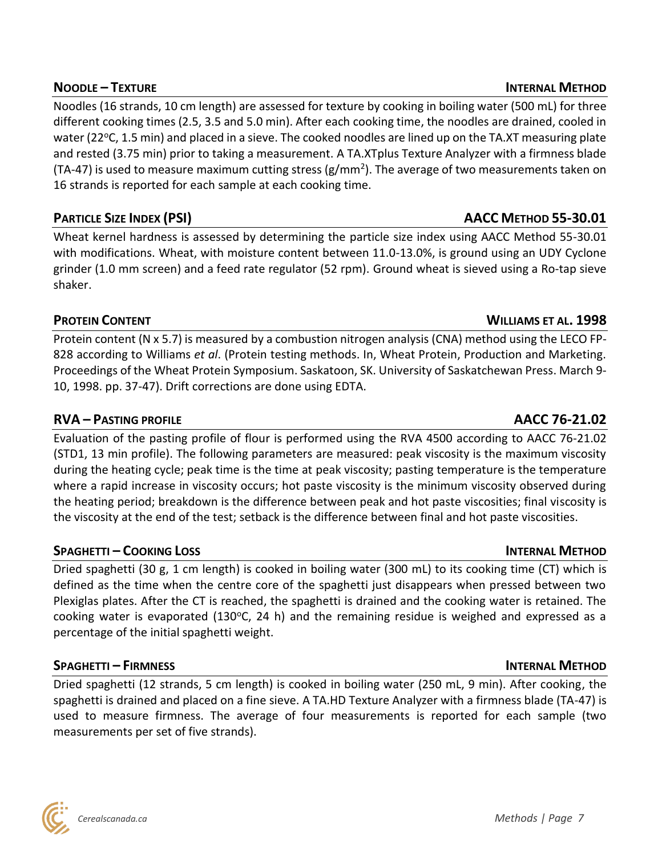Noodles (16 strands, 10 cm length) are assessed for texture by cooking in boiling water (500 mL) for three different cooking times (2.5, 3.5 and 5.0 min). After each cooking time, the noodles are drained, cooled in water (22 °C, 1.5 min) and placed in a sieve. The cooked noodles are lined up on the TA.XT measuring plate and rested (3.75 min) prior to taking a measurement. A TA.XTplus Texture Analyzer with a firmness blade (TA-47) is used to measure maximum cutting stress (g/mm<sup>2</sup>). The average of two measurements taken on 16 strands is reported for each sample at each cooking time.

Wheat kernel hardness is assessed by determining the particle size index using AACC Method 55-30.01 with modifications. Wheat, with moisture content between 11.0-13.0%, is ground using an UDY Cyclone grinder (1.0 mm screen) and a feed rate regulator (52 rpm). Ground wheat is sieved using a Ro-tap sieve shaker.

# **PROTEIN CONTENT WILLIAMS ET AL. 1998**

Protein content (N x 5.7) is measured by a combustion nitrogen analysis (CNA) method using the LECO FP-828 according to Williams *et al*. (Protein testing methods. In, Wheat Protein, Production and Marketing. Proceedings of the Wheat Protein Symposium. Saskatoon, SK. University of Saskatchewan Press. March 9- 10, 1998. pp. 37-47). Drift corrections are done using EDTA.

# **RVA – PASTING PROFILE AACC 76-21.02**

Evaluation of the pasting profile of flour is performed using the RVA 4500 according to AACC 76-21.02 (STD1, 13 min profile). The following parameters are measured: peak viscosity is the maximum viscosity during the heating cycle; peak time is the time at peak viscosity; pasting temperature is the temperature where a rapid increase in viscosity occurs; hot paste viscosity is the minimum viscosity observed during the heating period; breakdown is the difference between peak and hot paste viscosities; final viscosity is the viscosity at the end of the test; setback is the difference between final and hot paste viscosities.

### **SPAGHETTI – COOKING LOSS INTERNAL METHOD**

Dried spaghetti (30 g, 1 cm length) is cooked in boiling water (300 mL) to its cooking time (CT) which is defined as the time when the centre core of the spaghetti just disappears when pressed between two Plexiglas plates. After the CT is reached, the spaghetti is drained and the cooking water is retained. The cooking water is evaporated (130 $^{\circ}$ C, 24 h) and the remaining residue is weighed and expressed as a percentage of the initial spaghetti weight.

# **SPAGHETTI – FIRMNESS INTERNAL METHOD**

Dried spaghetti (12 strands, 5 cm length) is cooked in boiling water (250 mL, 9 min). After cooking, the spaghetti is drained and placed on a fine sieve. A TA.HD Texture Analyzer with a firmness blade (TA-47) is used to measure firmness. The average of four measurements is reported for each sample (two measurements per set of five strands).

# **NOODLE – TEXTURE INTERNAL METHOD**

# **PARTICLE SIZE INDEX (PSI) AACC METHOD 55-30.01**

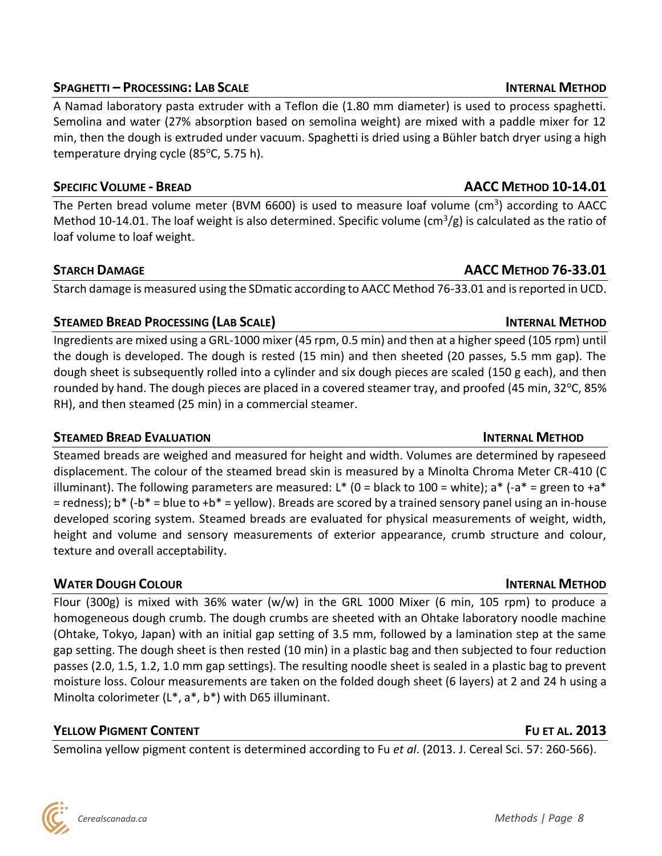# **SPAGHETTI – PROCESSING: LAB SCALE INTERNAL METHOD**

A Namad laboratory pasta extruder with a Teflon die (1.80 mm diameter) is used to process spaghetti. Semolina and water (27% absorption based on semolina weight) are mixed with a paddle mixer for 12 min, then the dough is extruded under vacuum. Spaghetti is dried using a Bühler batch dryer using a high temperature drying cycle (85°C, 5.75 h).

# **SPECIFIC VOLUME - BREAD AACC METHOD 10-14.01**

The Perten bread volume meter (BVM 6600) is used to measure loaf volume (cm<sup>3</sup>) according to AACC Method 10-14.01. The loaf weight is also determined. Specific volume (cm<sup>3</sup>/g) is calculated as the ratio of loaf volume to loaf weight.

Starch damage is measured using the SDmatic according to AACC Method 76-33.01 and is reported in UCD.

# **STEAMED BREAD PROCESSING (LAB SCALE) INTERNAL METHOD**

Ingredients are mixed using a GRL-1000 mixer (45 rpm, 0.5 min) and then at a higher speed (105 rpm) until the dough is developed. The dough is rested (15 min) and then sheeted (20 passes, 5.5 mm gap). The dough sheet is subsequently rolled into a cylinder and six dough pieces are scaled (150 g each), and then rounded by hand. The dough pieces are placed in a covered steamer tray, and proofed (45 min, 32 $^{\circ}$ C, 85% RH), and then steamed (25 min) in a commercial steamer.

Steamed breads are weighed and measured for height and width. Volumes are determined by rapeseed displacement. The colour of the steamed bread skin is measured by a Minolta Chroma Meter CR-410 (C illuminant). The following parameters are measured: L\* (0 = black to 100 = white); a\*  $(-a^* = g$ reen to  $+a^*$  $=$  redness); b\* (-b\*  $=$  blue to +b\*  $=$  yellow). Breads are scored by a trained sensory panel using an in-house developed scoring system. Steamed breads are evaluated for physical measurements of weight, width, height and volume and sensory measurements of exterior appearance, crumb structure and colour, texture and overall acceptability.

# **WATER DOUGH COLOUR INTERNAL METHOD**

Flour (300g) is mixed with 36% water (w/w) in the GRL 1000 Mixer (6 min, 105 rpm) to produce a homogeneous dough crumb. The dough crumbs are sheeted with an Ohtake laboratory noodle machine (Ohtake, Tokyo, Japan) with an initial gap setting of 3.5 mm, followed by a lamination step at the same gap setting. The dough sheet is then rested (10 min) in a plastic bag and then subjected to four reduction passes (2.0, 1.5, 1.2, 1.0 mm gap settings). The resulting noodle sheet is sealed in a plastic bag to prevent moisture loss. Colour measurements are taken on the folded dough sheet (6 layers) at 2 and 24 h using a Minolta colorimeter (L\*, a\*, b\*) with D65 illuminant.

# **YELLOW PIGMENT CONTENT FU ET AL. 2013**

Semolina yellow pigment content is determined according to Fu *et al*. (2013. J. Cereal Sci. 57: 260-566).

**STARCH DAMAGE AACC METHOD 76-33.01**

# **STEAMED BREAD EVALUATION INTERNAL METHOD**

### *Cerealscanada.ca Methods | Page 8*